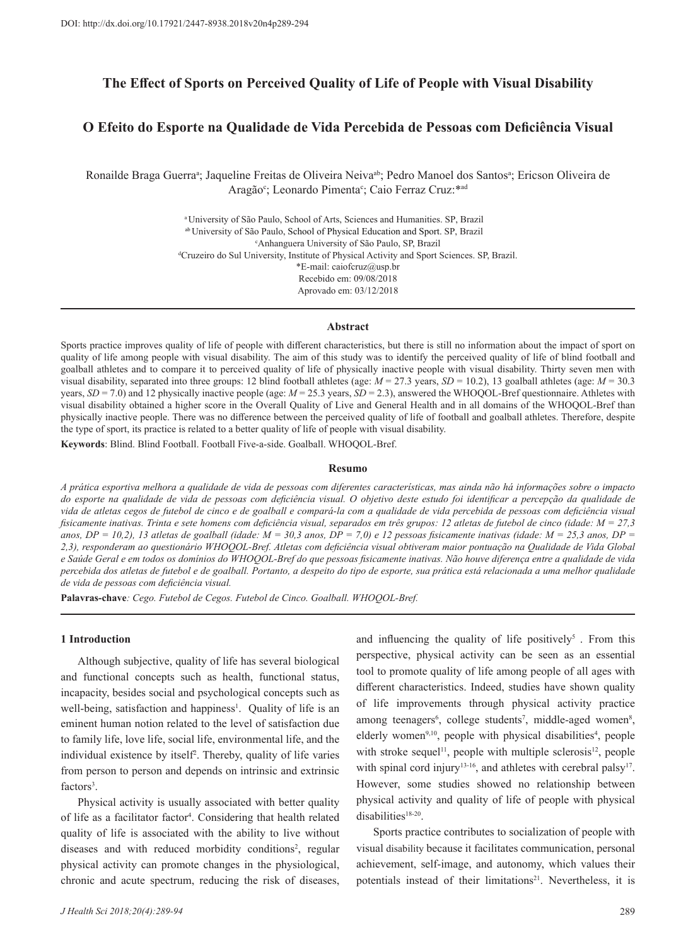# **The Effect of Sports on Perceived Quality of Life of People with Visual Disability**

# **O Efeito do Esporte na Qualidade de Vida Percebida de Pessoas com Deficiência Visual**

Ronailde Braga Guerra<sup>a</sup>; Jaqueline Freitas de Oliveira Neiva<sup>ab</sup>; Pedro Manoel dos Santos<sup>a</sup>; Ericson Oliveira de Aragão<sup>c</sup>; Leonardo Pimenta<sup>c</sup>; Caio Ferraz Cruz: \*ad

> <sup>a</sup>University of São Paulo, School of Arts, Sciences and Humanities. SP, Brazil ab University of São Paulo, School of Physical Education and Sport. SP, Brazil c Anhanguera University of São Paulo, SP, Brazil d Cruzeiro do Sul University, Institute of Physical Activity and Sport Sciences. SP, Brazil. \*E-mail: caiofcruz@usp.br Recebido em: 09/08/2018 Aprovado em: 03/12/2018

#### **Abstract**

Sports practice improves quality of life of people with different characteristics, but there is still no information about the impact of sport on quality of life among people with visual disability. The aim of this study was to identify the perceived quality of life of blind football and goalball athletes and to compare it to perceived quality of life of physically inactive people with visual disability. Thirty seven men with visual disability, separated into three groups: 12 blind football athletes (age:  $M = 27.3$  years,  $SD = 10.2$ ), 13 goalball athletes (age:  $M = 30.3$ ) years,  $SD = 7.0$ ) and 12 physically inactive people (age:  $M = 25.3$  years,  $SD = 2.3$ ), answered the WHOQOL-Bref questionnaire. Athletes with visual disability obtained a higher score in the Overall Quality of Live and General Health and in all domains of the WHOQOL-Bref than physically inactive people. There was no difference between the perceived quality of life of football and goalball athletes. Therefore, despite the type of sport, its practice is related to a better quality of life of people with visual disability.

**Keywords**: Blind. Blind Football. Football Five-a-side. Goalball. WHOQOL-Bref.

#### **Resumo**

*A prática esportiva melhora a qualidade de vida de pessoas com diferentes características, mas ainda não há informações sobre o impacto do esporte na qualidade de vida de pessoas com deficiência visual. O objetivo deste estudo foi identificar a percepção da qualidade de vida de atletas cegos de futebol de cinco e de goalball e compará-la com a qualidade de vida percebida de pessoas com deficiência visual fisicamente inativas. Trinta e sete homens com deficiência visual, separados em três grupos: 12 atletas de futebol de cinco (idade: M = 27,3*  anos,  $DP = 10,2$ ), 13 atletas de goalball (idade:  $M = 30,3$  anos,  $DP = 7,0$ ) e 12 pessoas fisicamente inativas (idade:  $M = 25,3$  anos,  $DP = 20$ ) *2,3), responderam ao questionário WHOQOL-Bref. Atletas com deficiência visual obtiveram maior pontuação na Qualidade de Vida Global e Saúde Geral e em todos os domínios do WHOQOL-Bref do que pessoas fisicamente inativas. Não houve diferença entre a qualidade de vida percebida dos atletas de futebol e de goalball. Portanto, a despeito do tipo de esporte, sua prática está relacionada a uma melhor qualidade de vida de pessoas com deficiência visual.*

**Palavras-chave***: Cego. Futebol de Cegos. Futebol de Cinco. Goalball. WHOQOL-Bref.*

#### **1 Introduction**

Although subjective, quality of life has several biological and functional concepts such as health, functional status, incapacity, besides social and psychological concepts such as well-being, satisfaction and happiness<sup>1</sup>. Quality of life is an eminent human notion related to the level of satisfaction due to family life, love life, social life, environmental life, and the individual existence by itself<sup>2</sup> . Thereby, quality of life varies from person to person and depends on intrinsic and extrinsic factors<sup>3</sup>.

Physical activity is usually associated with better quality of life as a facilitator factor<sup>4</sup>. Considering that health related quality of life is associated with the ability to live without diseases and with reduced morbidity conditions<sup>2</sup>, regular physical activity can promote changes in the physiological, chronic and acute spectrum, reducing the risk of diseases,

and influencing the quality of life positively<sup>5</sup>. From this perspective, physical activity can be seen as an essential tool to promote quality of life among people of all ages with different characteristics. Indeed, studies have shown quality of life improvements through physical activity practice among teenagers<sup>6</sup>, college students<sup>7</sup>, middle-aged women<sup>8</sup>, elderly women<sup>9,10</sup>, people with physical disabilities<sup>4</sup>, people with stroke sequel<sup>11</sup>, people with multiple sclerosis<sup>12</sup>, people with spinal cord injury<sup>13-16</sup>, and athletes with cerebral palsy<sup>17</sup>. However, some studies showed no relationship between physical activity and quality of life of people with physical disabilities<sup>18-20</sup>.

Sports practice contributes to socialization of people with visual disability because it facilitates communication, personal achievement, self-image, and autonomy, which values their potentials instead of their limitations<sup>21</sup>. Nevertheless, it is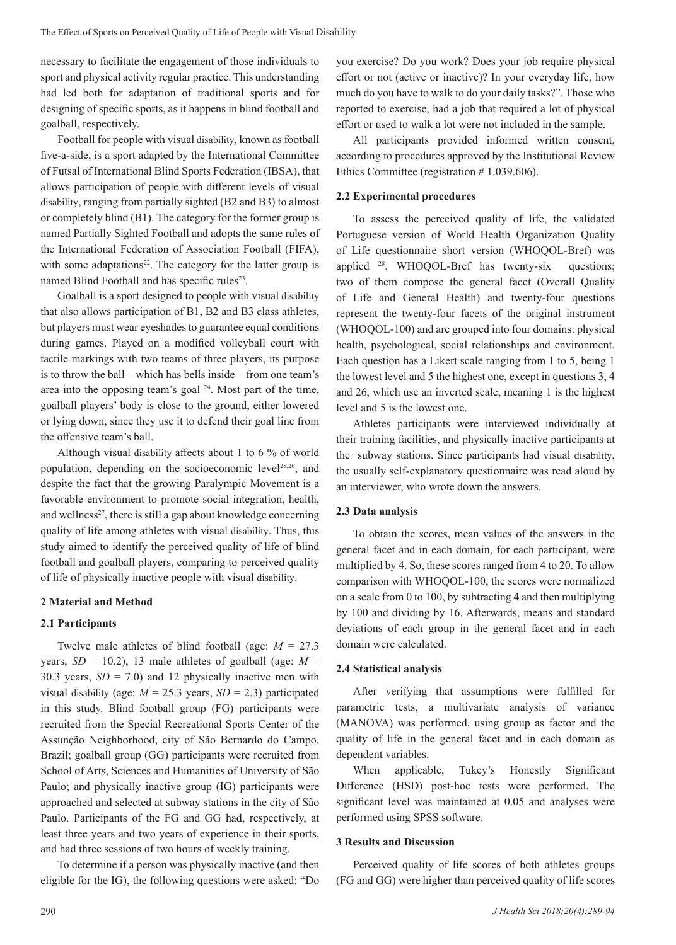necessary to facilitate the engagement of those individuals to sport and physical activity regular practice. This understanding had led both for adaptation of traditional sports and for designing of specific sports, as it happens in blind football and goalball, respectively.

Football for people with visual disability, known as football five-a-side, is a sport adapted by the International Committee of Futsal of International Blind Sports Federation (IBSA), that allows participation of people with different levels of visual disability, ranging from partially sighted (B2 and B3) to almost or completely blind (B1). The category for the former group is named Partially Sighted Football and adopts the same rules of the International Federation of Association Football (FIFA), with some adaptations $22$ . The category for the latter group is named Blind Football and has specific rules<sup>23</sup>.

Goalball is a sport designed to people with visual disability that also allows participation of B1, B2 and B3 class athletes, but players must wear eyeshades to guarantee equal conditions during games. Played on a modified volleyball court with tactile markings with two teams of three players, its purpose is to throw the ball – which has bells inside – from one team's area into the opposing team's goal 24. Most part of the time, goalball players' body is close to the ground, either lowered or lying down, since they use it to defend their goal line from the offensive team's ball.

Although visual disability affects about 1 to 6 % of world population, depending on the socioeconomic level25,26, and despite the fact that the growing Paralympic Movement is a favorable environment to promote social integration, health, and wellness<sup>27</sup>, there is still a gap about knowledge concerning quality of life among athletes with visual disability. Thus, this study aimed to identify the perceived quality of life of blind football and goalball players, comparing to perceived quality of life of physically inactive people with visual disability.

# **2 Material and Method**

# **2.1 Participants**

Twelve male athletes of blind football (age:  $M = 27.3$ ) years,  $SD = 10.2$ ), 13 male athletes of goalball (age:  $M =$ 30.3 years,  $SD = 7.0$ ) and 12 physically inactive men with visual disability (age:  $M = 25.3$  years,  $SD = 2.3$ ) participated in this study. Blind football group (FG) participants were recruited from the Special Recreational Sports Center of the Assunção Neighborhood, city of São Bernardo do Campo, Brazil; goalball group (GG) participants were recruited from School of Arts, Sciences and Humanities of University of São Paulo; and physically inactive group (IG) participants were approached and selected at subway stations in the city of São Paulo. Participants of the FG and GG had, respectively, at least three years and two years of experience in their sports, and had three sessions of two hours of weekly training.

To determine if a person was physically inactive (and then eligible for the IG), the following questions were asked: "Do

you exercise? Do you work? Does your job require physical effort or not (active or inactive)? In your everyday life, how much do you have to walk to do your daily tasks?". Those who reported to exercise, had a job that required a lot of physical effort or used to walk a lot were not included in the sample.

All participants provided informed written consent, according to procedures approved by the Institutional Review Ethics Committee (registration # 1.039.606).

# **2.2 Experimental procedures**

To assess the perceived quality of life, the validated Portuguese version of World Health Organization Quality of Life questionnaire short version (WHOQOL-Bref) was applied <sup>28</sup>. WHOQOL-Bref has twenty-six questions; two of them compose the general facet (Overall Quality of Life and General Health) and twenty-four questions represent the twenty-four facets of the original instrument (WHOQOL-100) and are grouped into four domains: physical health, psychological, social relationships and environment. Each question has a Likert scale ranging from 1 to 5, being 1 the lowest level and 5 the highest one, except in questions 3, 4 and 26, which use an inverted scale, meaning 1 is the highest level and 5 is the lowest one.

Athletes participants were interviewed individually at their training facilities, and physically inactive participants at the subway stations. Since participants had visual disability, the usually self-explanatory questionnaire was read aloud by an interviewer, who wrote down the answers.

# **2.3 Data analysis**

To obtain the scores, mean values of the answers in the general facet and in each domain, for each participant, were multiplied by 4. So, these scores ranged from 4 to 20. To allow comparison with WHOQOL-100, the scores were normalized on a scale from 0 to 100, by subtracting 4 and then multiplying by 100 and dividing by 16. Afterwards, means and standard deviations of each group in the general facet and in each domain were calculated.

# **2.4 Statistical analysis**

After verifying that assumptions were fulfilled for parametric tests, a multivariate analysis of variance (MANOVA) was performed, using group as factor and the quality of life in the general facet and in each domain as dependent variables.

When applicable, Tukey's Honestly Significant Difference (HSD) post-hoc tests were performed. The significant level was maintained at 0.05 and analyses were performed using SPSS software.

### **3 Results and Discussion**

Perceived quality of life scores of both athletes groups (FG and GG) were higher than perceived quality of life scores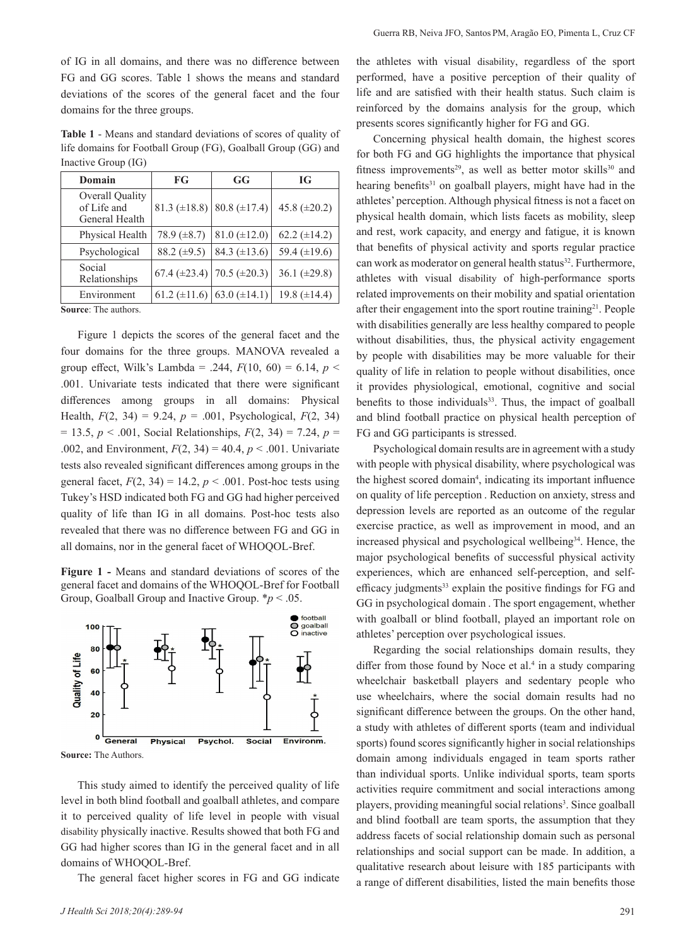of IG in all domains, and there was no difference between FG and GG scores. Table 1 shows the means and standard deviations of the scores of the general facet and the four domains for the three groups.

**Table 1** - Means and standard deviations of scores of quality of life domains for Football Group (FG), Goalball Group (GG) and Inactive Group (IG)

| Domain                                           | FG                | GG                  | <b>IG</b>         |
|--------------------------------------------------|-------------------|---------------------|-------------------|
| Overall Quality<br>of Life and<br>General Health | 81.3 $(\pm 18.8)$ | 80.8 $(\pm 17.4)$   | 45.8 $(\pm 20.2)$ |
| Physical Health                                  | 78.9 $(\pm 8.7)$  | $81.0 (\pm 12.0)$   | 62.2 $(\pm 14.2)$ |
| Psychological                                    | 88.2 $(\pm 9.5)$  | 84.3 $(\pm 13.6)$   | 59.4 $(\pm 19.6)$ |
| Social<br>Relationships                          | 67.4 $(\pm 23.4)$ | 70.5 ( $\pm 20.3$ ) | 36.1 $(\pm 29.8)$ |
| Environment                                      | 61.2 $(\pm 11.6)$ | 63.0 $(\pm 14.1)$   | 19.8 $(\pm 14.4)$ |
| Source: The authors                              |                   |                     |                   |

**Source:** The authors.

Figure 1 depicts the scores of the general facet and the four domains for the three groups. MANOVA revealed a group effect, Wilk's Lambda = .244,  $F(10, 60) = 6.14$ ,  $p <$ .001. Univariate tests indicated that there were significant differences among groups in all domains: Physical Health,  $F(2, 34) = 9.24$ ,  $p = .001$ , Psychological,  $F(2, 34)$  $= 13.5, p < .001$ , Social Relationships,  $F(2, 34) = 7.24, p =$ .002, and Environment, *F*(2, 34) = 40.4, *p* < .001. Univariate tests also revealed significant differences among groups in the general facet,  $F(2, 34) = 14.2$ ,  $p < .001$ . Post-hoc tests using Tukey's HSD indicated both FG and GG had higher perceived quality of life than IG in all domains. Post-hoc tests also revealed that there was no difference between FG and GG in all domains, nor in the general facet of WHOQOL-Bref.

**Figure 1 -** Means and standard deviations of scores of the general facet and domains of the WHOQOL-Bref for Football Group, Goalball Group and Inactive Group. \**p* < .05.



**Source:** The Authors.

This study aimed to identify the perceived quality of life level in both blind football and goalball athletes, and compare it to perceived quality of life level in people with visual disability physically inactive. Results showed that both FG and GG had higher scores than IG in the general facet and in all domains of WHOQOL-Bref.

The general facet higher scores in FG and GG indicate

the athletes with visual disability, regardless of the sport performed, have a positive perception of their quality of life and are satisfied with their health status. Such claim is reinforced by the domains analysis for the group, which presents scores significantly higher for FG and GG.

Concerning physical health domain, the highest scores for both FG and GG highlights the importance that physical fitness improvements<sup>29</sup>, as well as better motor skills<sup>30</sup> and hearing benefits<sup>31</sup> on goalball players, might have had in the athletes' perception. Although physical fitness is not a facet on physical health domain, which lists facets as mobility, sleep and rest, work capacity, and energy and fatigue, it is known that benefits of physical activity and sports regular practice can work as moderator on general health status<sup>32</sup>. Furthermore, athletes with visual disability of high-performance sports related improvements on their mobility and spatial orientation after their engagement into the sport routine training<sup>21</sup>. People with disabilities generally are less healthy compared to people without disabilities, thus, the physical activity engagement by people with disabilities may be more valuable for their quality of life in relation to people without disabilities, once it provides physiological, emotional, cognitive and social benefits to those individuals<sup>33</sup>. Thus, the impact of goalball and blind football practice on physical health perception of FG and GG participants is stressed.

Psychological domain results are in agreement with a study with people with physical disability, where psychological was the highest scored domain<sup>4</sup>, indicating its important influence on quality of life perception . Reduction on anxiety, stress and depression levels are reported as an outcome of the regular exercise practice, as well as improvement in mood, and an increased physical and psychological wellbeing<sup>34</sup>. Hence, the major psychological benefits of successful physical activity experiences, which are enhanced self-perception, and selfefficacy judgments<sup>33</sup> explain the positive findings for FG and GG in psychological domain . The sport engagement, whether with goalball or blind football, played an important role on athletes' perception over psychological issues.

Regarding the social relationships domain results, they differ from those found by Noce et al.<sup>4</sup> in a study comparing wheelchair basketball players and sedentary people who use wheelchairs, where the social domain results had no significant difference between the groups. On the other hand, a study with athletes of different sports (team and individual sports) found scores significantly higher in social relationships domain among individuals engaged in team sports rather than individual sports. Unlike individual sports, team sports activities require commitment and social interactions among players, providing meaningful social relations<sup>3</sup>. Since goalball and blind football are team sports, the assumption that they address facets of social relationship domain such as personal relationships and social support can be made. In addition, a qualitative research about leisure with 185 participants with a range of different disabilities, listed the main benefits those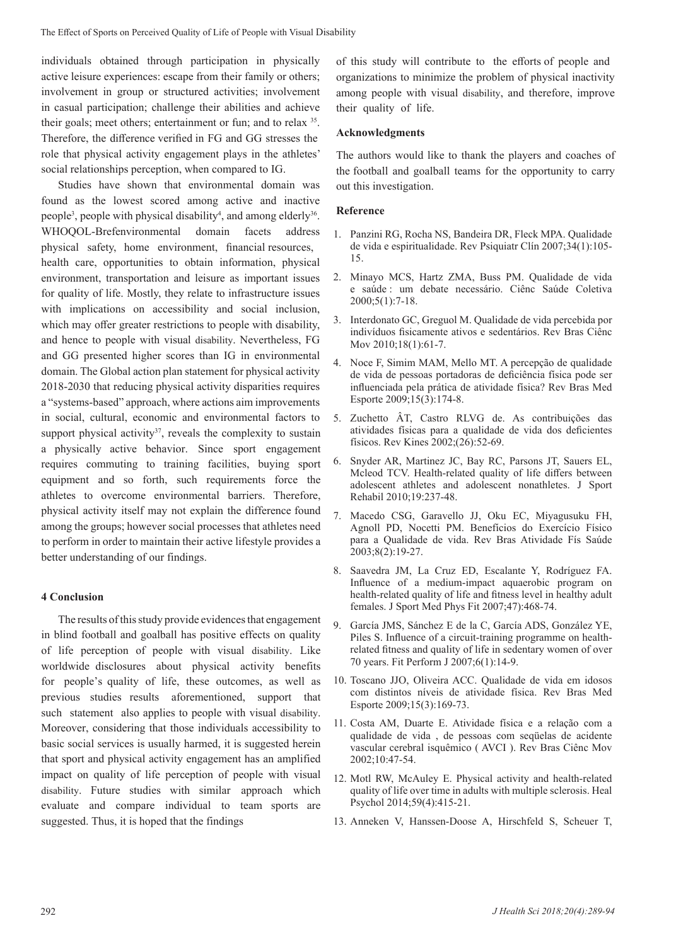individuals obtained through participation in physically active leisure experiences: escape from their family or others; involvement in group or structured activities; involvement in casual participation; challenge their abilities and achieve their goals; meet others; entertainment or fun; and to relax <sup>35</sup> . Therefore, the difference verified in FG and GG stresses the role that physical activity engagement plays in the athletes' social relationships perception, when compared to IG.

Studies have shown that environmental domain was found as the lowest scored among active and inactive people<sup>3</sup>, people with physical disability<sup>4</sup>, and among elderly<sup>36</sup>. WHOQOL-Brefenvironmental domain facets address physical safety, home environment, financial resources, health care, opportunities to obtain information, physical environment, transportation and leisure as important issues for quality of life. Mostly, they relate to infrastructure issues with implications on accessibility and social inclusion, which may offer greater restrictions to people with disability, and hence to people with visual disability. Nevertheless, FG and GG presented higher scores than IG in environmental domain. The Global action plan statement for physical activity 2018-2030 that reducing physical activity disparities requires a "systems-based" approach, where actions aim improvements in social, cultural, economic and environmental factors to support physical activity<sup>37</sup>, reveals the complexity to sustain a physically active behavior. Since sport engagement requires commuting to training facilities, buying sport equipment and so forth, such requirements force the athletes to overcome environmental barriers. Therefore, physical activity itself may not explain the difference found among the groups; however social processes that athletes need to perform in order to maintain their active lifestyle provides a better understanding of our findings.

### **4 Conclusion**

The results of this study provide evidences that engagement in blind football and goalball has positive effects on quality of life perception of people with visual disability. Like worldwide disclosures about physical activity benefits for people's quality of life, these outcomes, as well as previous studies results aforementioned, support that such statement also applies to people with visual disability. Moreover, considering that those individuals accessibility to basic social services is usually harmed, it is suggested herein that sport and physical activity engagement has an amplified impact on quality of life perception of people with visual disability. Future studies with similar approach which evaluate and compare individual to team sports are suggested. Thus, it is hoped that the findings

of this study will contribute to the efforts of people and organizations to minimize the problem of physical inactivity among people with visual disability, and therefore, improve their quality of life.

### **Acknowledgments**

The authors would like to thank the players and coaches of the football and goalball teams for the opportunity to carry out this investigation.

# **Reference**

- 1. Panzini RG, Rocha NS, Bandeira DR, Fleck MPA. Qualidade de vida e espiritualidade. Rev Psiquiatr Clín 2007;34(1):105- 15.
- 2. Minayo MCS, Hartz ZMA, Buss PM. Qualidade de vida e saúde : um debate necessário. Ciênc Saúde Coletiva 2000;5(1):7-18.
- 3. Interdonato GC, Greguol M. Qualidade de vida percebida por indivíduos fisicamente ativos e sedentários. Rev Bras Ciênc Mov 2010;18(1):61-7.
- 4. Noce F, Simim MAM, Mello MT. A percepção de qualidade de vida de pessoas portadoras de deficiência física pode ser influenciada pela prática de atividade física? Rev Bras Med Esporte 2009;15(3):174-8.
- 5. Zuchetto ÂT, Castro RLVG de. As contribuições das atividades físicas para a qualidade de vida dos deficientes físicos. Rev Kines 2002;(26):52-69.
- 6. Snyder AR, Martinez JC, Bay RC, Parsons JT, Sauers EL, Mcleod TCV. Health-related quality of life differs between adolescent athletes and adolescent nonathletes. J Sport Rehabil 2010;19:237-48.
- 7. Macedo CSG, Garavello JJ, Oku EC, Miyagusuku FH, Agnoll PD, Nocetti PM. Benefícios do Exercício Físico para a Qualidade de vida. Rev Bras Atividade Fís Saúde 2003;8(2):19-27.
- 8. Saavedra JM, La Cruz ED, Escalante Y, Rodríguez FA. Influence of a medium-impact aquaerobic program on health-related quality of life and fitness level in healthy adult females. J Sport Med Phys Fit 2007;47):468-74.
- 9. García JMS, Sánchez E de la C, García ADS, González YE, Piles S. Influence of a circuit-training programme on healthrelated fitness and quality of life in sedentary women of over 70 years. Fit Perform J 2007;6(1):14-9.
- 10. Toscano JJO, Oliveira ACC. Qualidade de vida em idosos com distintos níveis de atividade física. Rev Bras Med Esporte 2009;15(3):169-73.
- 11. Costa AM, Duarte E. Atividade física e a relação com a qualidade de vida , de pessoas com seqüelas de acidente vascular cerebral isquêmico ( AVCI ). Rev Bras Ciênc Mov 2002;10:47-54.
- 12. Motl RW, McAuley E. Physical activity and health-related quality of life over time in adults with multiple sclerosis. Heal Psychol 2014;59(4):415-21.
- 13. Anneken V, Hanssen-Doose A, Hirschfeld S, Scheuer T,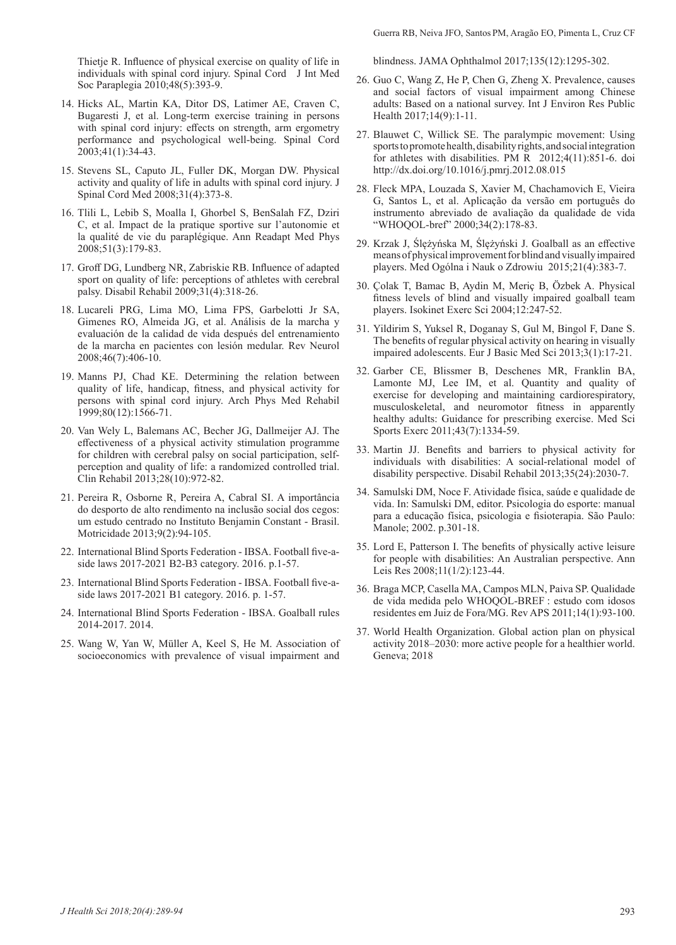Thietje R. Influence of physical exercise on quality of life in individuals with spinal cord injury. Spinal Cord J Int Med Soc Paraplegia 2010;48(5):393-9.

- 14. Hicks AL, Martin KA, Ditor DS, Latimer AE, Craven C, Bugaresti J, et al. Long-term exercise training in persons with spinal cord injury: effects on strength, arm ergometry performance and psychological well-being. Spinal Cord 2003;41(1):34-43.
- 15. Stevens SL, Caputo JL, Fuller DK, Morgan DW. Physical activity and quality of life in adults with spinal cord injury. J Spinal Cord Med 2008;31(4):373-8.
- 16. Tlili L, Lebib S, Moalla I, Ghorbel S, BenSalah FZ, Dziri C, et al. Impact de la pratique sportive sur l'autonomie et la qualité de vie du paraplégique. Ann Readapt Med Phys 2008;51(3):179-83.
- 17. Groff DG, Lundberg NR, Zabriskie RB. Influence of adapted sport on quality of life: perceptions of athletes with cerebral palsy. Disabil Rehabil 2009;31(4):318-26.
- 18. Lucareli PRG, Lima MO, Lima FPS, Garbelotti Jr SA, Gimenes RO, Almeida JG, et al. Análisis de la marcha y evaluación de la calidad de vida después del entrenamiento de la marcha en pacientes con lesión medular. Rev Neurol 2008;46(7):406-10.
- 19. Manns PJ, Chad KE. Determining the relation between quality of life, handicap, fitness, and physical activity for persons with spinal cord injury. Arch Phys Med Rehabil 1999;80(12):1566-71.
- 20. Van Wely L, Balemans AC, Becher JG, Dallmeijer AJ. The effectiveness of a physical activity stimulation programme for children with cerebral palsy on social participation, selfperception and quality of life: a randomized controlled trial. Clin Rehabil 2013;28(10):972-82.
- 21. Pereira R, Osborne R, Pereira A, Cabral SI. A importância do desporto de alto rendimento na inclusão social dos cegos: um estudo centrado no Instituto Benjamin Constant - Brasil. Motricidade 2013;9(2):94-105.
- 22. International Blind Sports Federation IBSA. Football five-aside laws 2017-2021 B2-B3 category. 2016. p.1-57.
- 23. International Blind Sports Federation IBSA. Football five-aside laws 2017-2021 B1 category. 2016. p. 1-57.
- 24. International Blind Sports Federation IBSA. Goalball rules 2014-2017. 2014.
- 25. Wang W, Yan W, Müller A, Keel S, He M. Association of socioeconomics with prevalence of visual impairment and

blindness. JAMA Ophthalmol 2017;135(12):1295-302.

- 26. Guo C, Wang Z, He P, Chen G, Zheng X. Prevalence, causes and social factors of visual impairment among Chinese adults: Based on a national survey. Int J Environ Res Public Health 2017;14(9):1-11.
- 27. Blauwet C, Willick SE. The paralympic movement: Using sports to promote health, disability rights, and social integration for athletes with disabilities. PM R 2012;4(11):851-6. doi http://dx.doi.org/10.1016/j.pmrj.2012.08.015
- 28. Fleck MPA, Louzada S, Xavier M, Chachamovich E, Vieira G, Santos L, et al. Aplicação da versão em português do instrumento abreviado de avaliação da qualidade de vida "WHOQOL-bref" 2000;34(2):178-83.
- 29. Krzak J, Ślężyńska M, Ślężyński J. Goalball as an effective means of physical improvement for blind and visually impaired players. Med Ogólna i Nauk o Zdrowiu 2015;21(4):383-7.
- 30. Çolak T, Bamac B, Aydin M, Meriç B, Özbek A. Physical fitness levels of blind and visually impaired goalball team players. Isokinet Exerc Sci 2004;12:247-52.
- 31. Yildirim S, Yuksel R, Doganay S, Gul M, Bingol F, Dane S. The benefits of regular physical activity on hearing in visually impaired adolescents. Eur J Basic Med Sci 2013;3(1):17-21.
- 32. Garber CE, Blissmer B, Deschenes MR, Franklin BA, Lamonte MJ, Lee IM, et al. Quantity and quality of exercise for developing and maintaining cardiorespiratory, musculoskeletal, and neuromotor fitness in apparently healthy adults: Guidance for prescribing exercise. Med Sci Sports Exerc 2011;43(7):1334-59.
- 33. Martin JJ. Benefits and barriers to physical activity for individuals with disabilities: A social-relational model of disability perspective. Disabil Rehabil 2013;35(24):2030-7.
- 34. Samulski DM, Noce F. Atividade física, saúde e qualidade de vida. In: Samulski DM, editor. Psicologia do esporte: manual para a educação física, psicologia e fisioterapia. São Paulo: Manole; 2002. p.301-18.
- 35. Lord E, Patterson I. The benefits of physically active leisure for people with disabilities: An Australian perspective. Ann Leis Res 2008;11(1/2):123-44.
- 36. Braga MCP, Casella MA, Campos MLN, Paiva SP. Qualidade de vida medida pelo WHOQOL-BREF : estudo com idosos residentes em Juiz de Fora/MG. Rev APS 2011;14(1):93-100.
- 37. World Health Organization. Global action plan on physical activity 2018–2030: more active people for a healthier world. Geneva; 2018